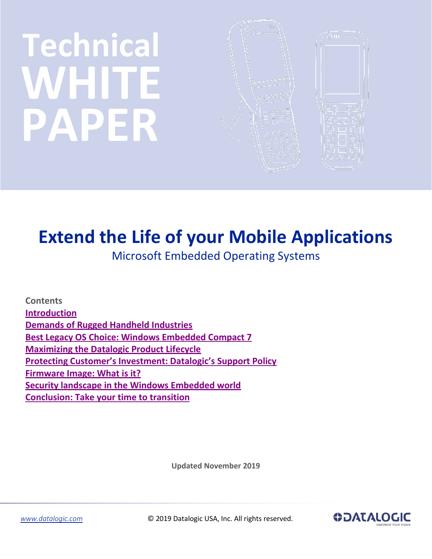# **Technical** WHITE **PAPER**



# **Extend the Life of your Mobile Applications**

Microsoft Embedded Operating Systems

**Contents [Introduction](#page-1-0) [Demands of Rugged Handheld Industries](#page-1-1) [Best Legacy OS Choice: Windows Embedded Compact 7](#page-1-2) [Maximizing the Datalogic Product Lifecycle](#page-2-0) Protect[ing Customer's Investment: Datalogic's Support Policy](#page-2-1) [Firmware Image: What is it?](#page-3-0) [Security landscape in the Windows Embedded world](#page-4-0) [Conclusion: Take your time to transition](#page-4-1)**

**Updated November 2019**



*[www.datalogic.com](http://www.datalogic.com/)* © 2019 Datalogic USA, Inc. All rights reserved.

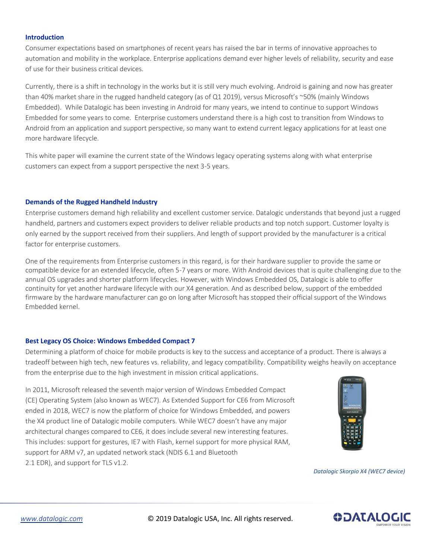### <span id="page-1-0"></span>**Introduction**

Consumer expectations based on smartphones of recent years has raised the bar in terms of innovative approaches to automation and mobility in the workplace. Enterprise applications demand ever higher levels of reliability, security and ease of use for their business critical devices.

Currently, there is a shift in technology in the works but it is still very much evolving. Android is gaining and now has greater than 40% market share in the rugged handheld category (as of Q1 2019), versus Microsoft's ~50% (mainly Windows Embedded). While Datalogic has been investing in Android for many years, we intend to continue to support Windows Embedded for some years to come. Enterprise customers understand there is a high cost to transition from Windows to Android from an application and support perspective, so many want to extend current legacy applications for at least one more hardware lifecycle.

This white paper will examine the current state of the Windows legacy operating systems along with what enterprise customers can expect from a support perspective the next 3-5 years.

# <span id="page-1-1"></span>**Demands of the Rugged Handheld Industry**

Enterprise customers demand high reliability and excellent customer service. Datalogic understands that beyond just a rugged handheld, partners and customers expect providers to deliver reliable products and top notch support. Customer loyalty is only earned by the support received from their suppliers. And length of support provided by the manufacturer is a critical factor for enterprise customers.

One of the requirements from Enterprise customers in this regard, is for their hardware supplier to provide the same or compatible device for an extended lifecycle, often 5-7 years or more. With Android devices that is quite challenging due to the annual OS upgrades and shorter platform lifecycles. However, with Windows Embedded OS, Datalogic is able to offer continuity for yet another hardware lifecycle with our X4 generation. And as described below, support of the embedded firmware by the hardware manufacturer can go on long after Microsoft has stopped their official support of the Windows Embedded kernel.

#### <span id="page-1-2"></span>**Best Legacy OS Choice: Windows Embedded Compact 7**

Determining a platform of choice for mobile products is key to the success and acceptance of a product. There is always a tradeoff between high tech, new features vs. reliability, and legacy compatibility. Compatibility weighs heavily on acceptance from the enterprise due to the high investment in mission critical applications.

In 2011, Microsoft released the seventh major version of Windows Embedded Compact (CE) Operating System (also known as WEC7). As Extended Support for CE6 from Microsoft ended in 2018, WEC7 is now the platform of choice for Windows Embedded, and powers the X4 product line of Datalogic mobile computers. While WEC7 doesn't have any major architectural changes compared to CE6, it does include several new interesting features. This includes: support for gestures, IE7 with Flash, kernel support for more physical RAM, support for ARM v7, an updated network stack (NDIS 6.1 and Bluetooth 2.1 EDR), and support for TLS v1.2.



*Datalogic Skorpio X4 (WEC7 device)*

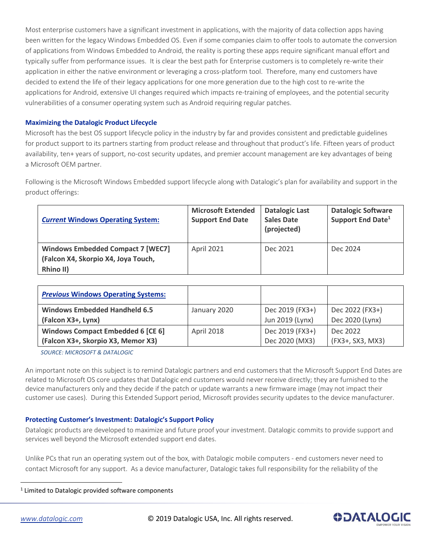Most enterprise customers have a significant investment in applications, with the majority of data collection apps having been written for the legacy Windows Embedded OS. Even if some companies claim to offer tools to automate the conversion of applications from Windows Embedded to Android, the reality is porting these apps require significant manual effort and typically suffer from performance issues. It is clear the best path for Enterprise customers is to completely re-write their application in either the native environment or leveraging a cross-platform tool. Therefore, many end customers have decided to extend the life of their legacy applications for one more generation due to the high cost to re-write the applications for Android, extensive UI changes required which impacts re-training of employees, and the potential security vulnerabilities of a consumer operating system such as Android requiring regular patches.

# <span id="page-2-0"></span>**Maximizing the Datalogic Product Lifecycle**

Microsoft has the best OS support lifecycle policy in the industry by far and provides consistent and predictable guidelines for product support to its partners starting from product release and throughout that product's life. Fifteen years of product availability, ten+ years of support, no-cost security updates, and premier account management are key advantages of being a Microsoft OEM partner.

Following is the Microsoft Windows Embedded support lifecycle along with Datalogic's plan for availability and support in the product offerings:

| <b>Current Windows Operating System:</b>                                                     | <b>Microsoft Extended</b><br><b>Support End Date</b> | <b>Datalogic Last</b><br><b>Sales Date</b><br>(projected) | <b>Datalogic Software</b><br>Support End Date <sup>1</sup> |
|----------------------------------------------------------------------------------------------|------------------------------------------------------|-----------------------------------------------------------|------------------------------------------------------------|
| <b>Windows Embedded Compact 7 [WEC7]</b><br>(Falcon X4, Skorpio X4, Joya Touch,<br>Rhino II) | April 2021                                           | Dec 2021                                                  | Dec 2024                                                   |

| <b>Previous Windows Operating Systems:</b> |                   |                 |                  |
|--------------------------------------------|-------------------|-----------------|------------------|
| <b>Windows Embedded Handheld 6.5</b>       | January 2020      | Dec 2019 (FX3+) | Dec 2022 (FX3+)  |
| (Falcon X3+, Lynx)                         |                   | Jun 2019 (Lynx) | Dec 2020 (Lynx)  |
| Windows Compact Embedded 6 [CE 6]          | <b>April 2018</b> | Dec 2019 (FX3+) | Dec 2022         |
| (Falcon X3+, Skorpio X3, Memor X3)         |                   | Dec 2020 (MX3)  | (FX3+, SX3, MX3) |

*SOURCE: MICROSOFT & DATALOGIC*

An important note on this subject is to remind Datalogic partners and end customers that the Microsoft Support End Dates are related to Microsoft OS core updates that Datalogic end customers would never receive directly; they are furnished to the device manufacturers only and they decide if the patch or update warrants a new firmware image (may not impact their customer use cases). During this Extended Support period, Microsoft provides security updates to the device manufacturer.

# <span id="page-2-1"></span>**Protecting Customer's Investment: Datalogic's Support Policy**

Datalogic products are developed to maximize and future proof your investment. Datalogic commits to provide support and services well beyond the Microsoft extended support end dates.

Unlike PCs that run an operating system out of the box, with Datalogic mobile computers - end customers never need to contact Microsoft for any support. As a device manufacturer, Datalogic takes full responsibility for the reliability of the

 $\overline{a}$ 

*[www.datalogic.com](http://www.datalogic.com/)* © 2019 Datalogic USA, Inc. All rights reserved.



 $1$  Limited to Datalogic provided software components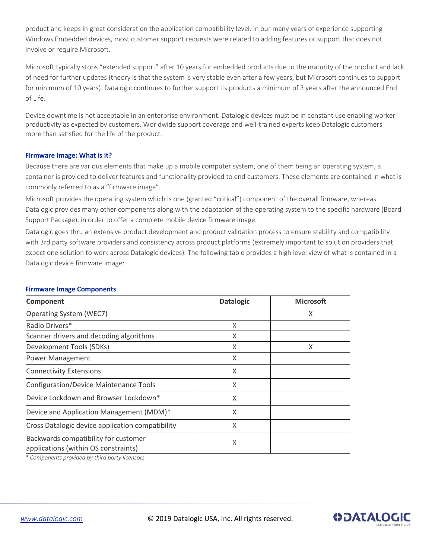product and keeps in great consideration the application compatibility level. In our many years of experience supporting Windows Embedded devices, most customer support requests were related to adding features or support that does not involve or require Microsoft.

Microsoft typically stops "extended support" after 10 years for embedded products due to the maturity of the product and lack of need for further updates (theory is that the system is very stable even after a few years, but Microsoft continues to support for minimum of 10 years). Datalogic continues to further support its products a minimum of 3 years after the announced End of Life.

Device downtime is not acceptable in an enterprise environment. Datalogic devices must be in constant use enabling worker productivity as expected by customers. Worldwide support coverage and well-trained experts keep Datalogic customers more than satisfied for the life of the product.

# <span id="page-3-0"></span>**Firmware Image: What is it?**

Because there are various elements that make up a mobile computer system, one of them being an operating system, a container is provided to deliver features and functionality provided to end customers. These elements are contained in what is commonly referred to as a "firmware image".

Microsoft provides the operating system which is one (granted "critical") component of the overall firmware, whereas Datalogic provides many other components along with the adaptation of the operating system to the specific hardware (Board Support Package), in order to offer a complete mobile device firmware image.

Datalogic goes thru an extensive product development and product validation process to ensure stability and compatibility with 3rd party software providers and consistency across product platforms (extremely important to solution providers that expect one solution to work across Datalogic devices). The following table provides a high level view of what is contained in a Datalogic device firmware image:

| <b>Component</b>                                                             | <b>Datalogic</b> | <b>Microsoft</b> |
|------------------------------------------------------------------------------|------------------|------------------|
| Operating System (WEC7)                                                      |                  | X                |
| Radio Drivers*                                                               | X                |                  |
| Scanner drivers and decoding algorithms                                      | Χ                |                  |
| Development Tools (SDKs)                                                     | X                | X                |
| <b>Power Management</b>                                                      | X                |                  |
| <b>Connectivity Extensions</b>                                               | X                |                  |
| Configuration/Device Maintenance Tools                                       | X                |                  |
| Device Lockdown and Browser Lockdown*                                        | X                |                  |
| Device and Application Management (MDM)*                                     | X                |                  |
| Cross Datalogic device application compatibility                             | X                |                  |
| Backwards compatibility for customer<br>applications (within OS constraints) | X                |                  |

#### **Firmware Image Components**

*\* Components provided by third party licensors*

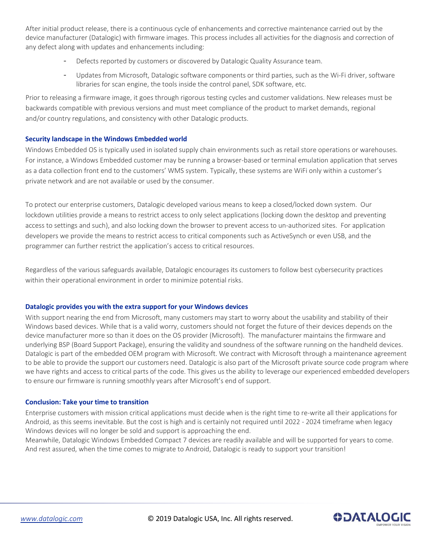After initial product release, there is a continuous cycle of enhancements and corrective maintenance carried out by the device manufacturer (Datalogic) with firmware images. This process includes all activities for the diagnosis and correction of any defect along with updates and enhancements including:

- Defects reported by customers or discovered by Datalogic Quality Assurance team.
- Updates from Microsoft, Datalogic software components or third parties, such as the Wi-Fi driver, software libraries for scan engine, the tools inside the control panel, SDK software, etc.

Prior to releasing a firmware image, it goes through rigorous testing cycles and customer validations. New releases must be backwards compatible with previous versions and must meet compliance of the product to market demands, regional and/or country regulations, and consistency with other Datalogic products.

# <span id="page-4-0"></span>**Security landscape in the Windows Embedded world**

Windows Embedded OS is typically used in isolated supply chain environments such as retail store operations or warehouses. For instance, a Windows Embedded customer may be running a browser-based or terminal emulation application that serves as a data collection front end to the customers' WMS system. Typically, these systems are WiFi only within a customer's private network and are not available or used by the consumer.

To protect our enterprise customers, Datalogic developed various means to keep a closed/locked down system. Our lockdown utilities provide a means to restrict access to only select applications (locking down the desktop and preventing access to settings and such), and also locking down the browser to prevent access to un-authorized sites. For application developers we provide the means to restrict access to critical components such as ActiveSynch or even USB, and the programmer can further restrict the application's access to critical resources.

Regardless of the various safeguards available, Datalogic encourages its customers to follow best cybersecurity practices within their operational environment in order to minimize potential risks.

#### **Datalogic provides you with the extra support for your Windows devices**

With support nearing the end from Microsoft, many customers may start to worry about the usability and stability of their Windows based devices. While that is a valid worry, customers should not forget the future of their devices depends on the device manufacturer more so than it does on the OS provider (Microsoft). The manufacturer maintains the firmware and underlying BSP (Board Support Package), ensuring the validity and soundness of the software running on the handheld devices. Datalogic is part of the embedded OEM program with Microsoft. We contract with Microsoft through a maintenance agreement to be able to provide the support our customers need. Datalogic is also part of the Microsoft private source code program where we have rights and access to critical parts of the code. This gives us the ability to leverage our experienced embedded developers to ensure our firmware is running smoothly years after Microsoft's end of support.

#### <span id="page-4-1"></span>**Conclusion: Take your time to transition**

Enterprise customers with mission critical applications must decide when is the right time to re-write all their applications for Android, as this seems inevitable. But the cost is high and is certainly not required until 2022 - 2024 timeframe when legacy Windows devices will no longer be sold and support is approaching the end.

Meanwhile, Datalogic Windows Embedded Compact 7 devices are readily available and will be supported for years to come. And rest assured, when the time comes to migrate to Android, Datalogic is ready to support your transition!